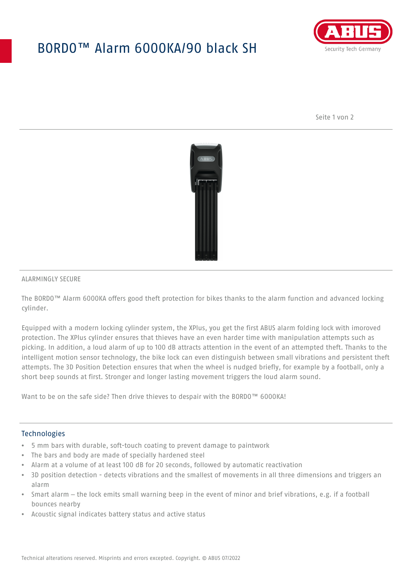# BORDO™ Alarm 6000KA/90 black SH



Seite 1 von 2



### ALARMINGLY SECURE

The BORDO™ Alarm 6000KA offers good theft protection for bikes thanks to the alarm function and advanced locking cylinder.

Equipped with a modern locking cylinder system, the XPlus, you get the first ABUS alarm folding lock with imoroved protection. The XPlus cylinder ensures that thieves have an even harder time with manipulation attempts such as picking. In addition, a loud alarm of up to 100 dB attracts attention in the event of an attempted theft. Thanks to the intelligent motion sensor technology, the bike lock can even distinguish between small vibrations and persistent theft attempts. The 3D Position Detection ensures that when the wheel is nudged briefly, for example by a football, only a short beep sounds at first. Stronger and longer lasting movement triggers the loud alarm sound.

Want to be on the safe side? Then drive thieves to despair with the BORDO™ 6000KA!

### Technologies

- 5 mm bars with durable, soft-touch coating to prevent damage to paintwork
- The bars and body are made of specially hardened steel
- Alarm at a volume of at least 100 dB for 20 seconds, followed by automatic reactivation
- 3D position detection detects vibrations and the smallest of movements in all three dimensions and triggers an alarm
- Smart alarm the lock emits small warning beep in the event of minor and brief vibrations, e.g. if a football bounces nearby
- Acoustic signal indicates battery status and active status